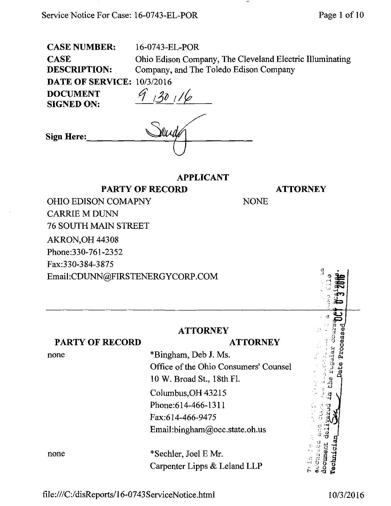<file:///C:/disReports/16-0743ServiceNotice.html>10/3/2016

# **ATTORNEY**

NONE

| <b>OHIO EDISON COMAPNY</b>      |
|---------------------------------|
| <b>CARRIE M DUNN</b>            |
| <b>76 SOUTH MAIN STREET</b>     |
| <b>AKRON, OH 44308</b>          |
| Phone:330-761-2352              |
| Fax:330-384-3875                |
| Email:CDUNN@FIRSTENERGYCORP.COM |

**ATTORNEY** 

### PARTY OF RECORD

none

### **ATTORNEY**

\*Bingham, Deb J. Ms. Office of the Ohio Consumers' Counsel 10 W. Broad St., 18th Fl. Columbus,OH 43215 Phone:614-466-1311 Fax:614-466-9475 Email[:bingham@occ.state.oh.us](mailto:bingham@occ.state.oh.us) 

none \*Sechler, Joel E Mr. Carpenter Lipps & Leland LLP

CASE NUMBER: 16-0743-EL-POR

CASE Ohio Edison Company, The Cleveland Electric Illuminating DESCRIPTION: Company, and The Toledo Edison Company DATE OF SERVICE: 10/3/2016 DOCUMENT  $\mathscr{G}$  22 /

APPLICANT

| $\sim$ $\sim$ $\sim$ $\sim$ $\sim$ $\sim$ $\sim$<br><b>SIGNED ON:</b> | - 1<br>I O |
|-----------------------------------------------------------------------|------------|
| Sign Here:                                                            |            |
|                                                                       |            |

PARTY OF RECORD

ا پ

the regular

enderation document Technici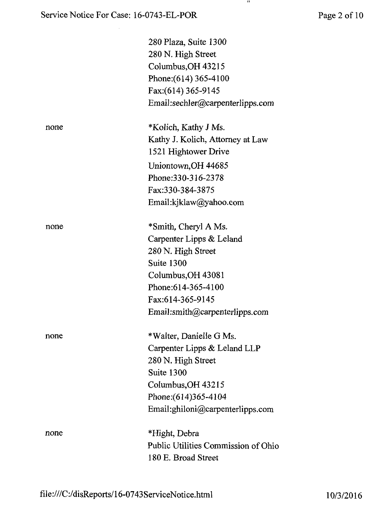### Service Notice For Case: 16-0743-EL-POR Page 2 of 10

 $\mathcal{A}^{\mathcal{A}}$ 

 $\mathbf{H}$ 

|      | 280 Plaza, Suite 1300<br>280 N. High Street<br>Columbus, OH 43215<br>Phone: (614) 365-4100<br>Fax: (614) 365-9145<br>Email:sechler@carpenterlipps.com |
|------|-------------------------------------------------------------------------------------------------------------------------------------------------------|
| none | *Kolich, Kathy J Ms.                                                                                                                                  |
|      | Kathy J. Kolich, Attorney at Law                                                                                                                      |
|      | 1521 Hightower Drive                                                                                                                                  |
|      | Uniontown, OH 44685                                                                                                                                   |
|      | Phone: 330-316-2378                                                                                                                                   |
|      | Fax:330-384-3875                                                                                                                                      |
|      | Email:kjklaw@yahoo.com                                                                                                                                |
| none | *Smith, Cheryl A Ms.                                                                                                                                  |
|      | Carpenter Lipps & Leland                                                                                                                              |
|      | 280 N. High Street                                                                                                                                    |
|      | Suite 1300                                                                                                                                            |
|      | Columbus, OH 43081                                                                                                                                    |
|      | Phone: 614-365-4100                                                                                                                                   |
|      | Fax:614-365-9145                                                                                                                                      |
|      | Email:smith@carpenterlipps.com                                                                                                                        |
| none | *Walter, Danielle G Ms.                                                                                                                               |
|      | Carpenter Lipps & Leland LLP                                                                                                                          |
|      | 280 N. High Street                                                                                                                                    |
|      | Suite 1300                                                                                                                                            |
|      | Columbus, OH 43215                                                                                                                                    |
|      | Phone: (614) 365-4104                                                                                                                                 |
|      | Email:ghiloni@carpenterlipps.com                                                                                                                      |
| none | *Hight, Debra                                                                                                                                         |
|      | Public Utilities Commission of Ohio                                                                                                                   |
|      | 180 E. Broad Street                                                                                                                                   |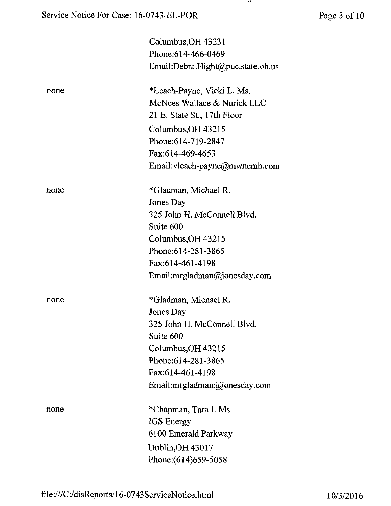|      | Columbus, OH 43231                      |
|------|-----------------------------------------|
|      | Phone: 614-466-0469                     |
|      | Email:Debra.Hight@puc.state.oh.us       |
| none | *Leach-Payne, Vicki L. Ms.              |
|      | McNees Wallace & Nurick LLC             |
|      | 21 E. State St., 17th Floor             |
|      | Columbus, OH 43215                      |
|      | Phone: 614-719-2847                     |
|      | Fax:614-469-4653                        |
|      | Email: vleach-payne@mwncmh.com          |
| none | *Gladman, Michael R.                    |
|      | Jones Day                               |
|      | 325 John H. McConnell Blvd.             |
|      | Suite 600                               |
|      | Columbus, OH 43215                      |
|      | Phone: 614-281-3865                     |
|      | Fax:614-461-4198                        |
|      | Email: mrglad man $\omega$ jonesday.com |
| none | *Gladman, Michael R.                    |
|      | Jones Day                               |
|      | 325 John H. McConnell Blvd.             |
|      | Suite 600                               |
|      | Columbus, OH 43215                      |
|      | Phone: 614-281-3865                     |
|      | Fax:614-461-4198                        |
|      | Email: $mrgladman@jonesday.com$         |
| none | *Chapman, Tara L Ms.                    |
|      | IGS Energy                              |
|      | 6100 Emerald Parkway                    |
|      | Dublin, OH 43017                        |
|      | Phone: (614) 659-5058                   |
|      |                                         |

 $\mathbf{H}$ 

[file:///C:/disReports/16-0743ServiceNotice.html 1](file:///C:/disReports/16-0743ServiceNotice.html)0/3/2016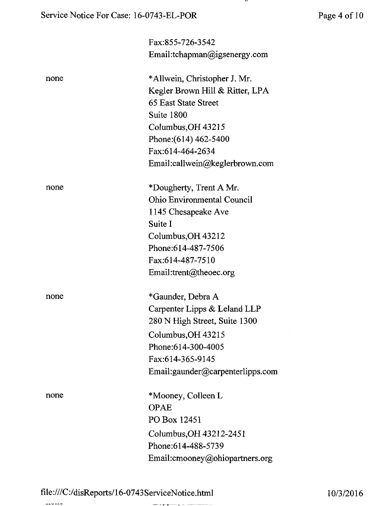$\ddot{\phantom{1}}$ 

|      | Fax:855-726-3542                  |
|------|-----------------------------------|
|      | Email:tchapman@igsenergy.com      |
| none | *Allwein, Christopher J. Mr.      |
|      | Kegler Brown Hill & Ritter, LPA   |
|      | 65 East State Street              |
|      | Suite 1800                        |
|      | Columbus, OH 43215                |
|      | Phone: (614) 462-5400             |
|      | Fax:614-464-2634                  |
|      | Email:callwein@keglerbrown.com    |
| none | *Dougherty, Trent A Mr.           |
|      | <b>Ohio Environmental Council</b> |
|      | 1145 Chesapeake Ave               |
|      | Suite I                           |
|      | Columbus, OH 43212                |
|      | Phone: 614-487-7506               |
|      | Fax:614-487-7510                  |
|      | Email:trent@theoec.org            |
| none | *Gaunder, Debra A                 |
|      | Carpenter Lipps & Leland LLP      |
|      | 280 N High Street, Suite 1300     |
|      | Columbus, OH 43215                |
|      | Phone: 614-300-4005               |
|      | Fax:614-365-9145                  |
|      | Email:gaunder@carpenterlipps.com  |
| none | *Mooney, Colleen L                |
|      | <b>OPAE</b>                       |
|      | PO Box 12451                      |
|      | Columbus, OH 43212-2451           |
|      | Phone: 614-488-5739               |
|      | Email: cmooney@ohiopartners.org   |
|      |                                   |

 $\mathbf{r} = \mathbf{r} + \mathbf{r} + \mathbf{r} + \mathbf{r} + \mathbf{r} + \mathbf{r} + \mathbf{r} + \mathbf{r} + \mathbf{r} + \mathbf{r} + \mathbf{r} + \mathbf{r} + \mathbf{r} + \mathbf{r} + \mathbf{r} + \mathbf{r} + \mathbf{r} + \mathbf{r} + \mathbf{r} + \mathbf{r} + \mathbf{r} + \mathbf{r} + \mathbf{r} + \mathbf{r} + \mathbf{r} + \mathbf{r} + \mathbf{r} + \mathbf{r} + \mathbf{r} + \mathbf{r} + \mathbf$ 

 $\overline{\phantom{a}}$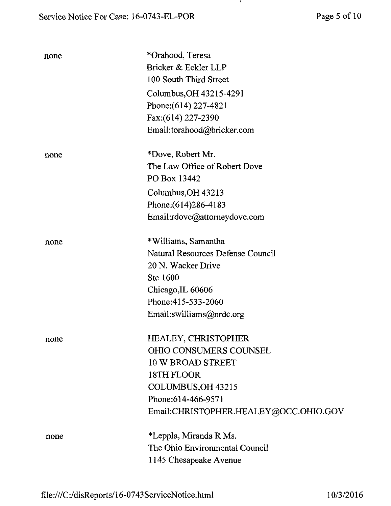| none | *Orahood, Teresa<br>Bricker & Eckler LLP<br>100 South Third Street<br>Columbus, OH 43215-4291<br>Phone: (614) 227-4821<br>Fax: (614) 227-2390<br>Email:torahood@bricker.com                 |
|------|---------------------------------------------------------------------------------------------------------------------------------------------------------------------------------------------|
| none | *Dove, Robert Mr.<br>The Law Office of Robert Dove<br>PO Box 13442<br>Columbus, OH 43213                                                                                                    |
|      | Phone: (614) 286-4183<br>Email:rdove@attorneydove.com                                                                                                                                       |
| none | *Williams, Samantha<br>Natural Resources Defense Council<br>20 N. Wacker Drive<br>Ste 1600<br>Chicago, IL 60606<br>Phone: 415-533-2060<br>Email:swilliams@nrdc.org                          |
| none | <b>HEALEY, CHRISTOPHER</b><br><b>OHIO CONSUMERS COUNSEL</b><br><b>10 W BROAD STREET</b><br>18TH FLOOR<br>COLUMBUS, OH 43215<br>Phone: 614-466-9571<br>Email:CHRISTOPHER.HEALEY@OCC.OHIO.GOV |
| none | *Leppla, Miranda R Ms.<br>The Ohio Environmental Council<br>1145 Chesapeake Avenue                                                                                                          |

 $\mathbf{H}$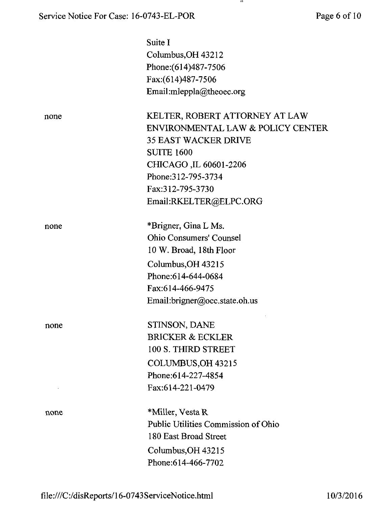$\mathbf{H}$ 

|      | Suite I                             |
|------|-------------------------------------|
|      | Columbus, OH 43212                  |
|      | Phone: (614) 487-7506               |
|      | Fax:(614)487-7506                   |
|      | Email:mleppla@theoec.org            |
|      |                                     |
| none | KELTER, ROBERT ATTORNEY AT LAW      |
|      | ENVIRONMENTAL LAW & POLICY CENTER   |
|      | <b>35 EAST WACKER DRIVE</b>         |
|      | <b>SUITE 1600</b>                   |
|      | CHICAGO, IL 60601-2206              |
|      | Phone: 312-795-3734                 |
|      | Fax:312-795-3730                    |
|      | Email:RKELTER@ELPC.ORG              |
|      |                                     |
| none | *Brigner, Gina L Ms.                |
|      | <b>Ohio Consumers' Counsel</b>      |
|      | 10 W. Broad, 18th Floor             |
|      | Columbus, OH 43215                  |
|      | Phone:614-644-0684                  |
|      | Fax:614-466-9475                    |
|      | Email:brigner@occ.state.oh.us       |
| none | STINSON, DANE                       |
|      | <b>BRICKER &amp; ECKLER</b>         |
|      | 100 S. THIRD STREET                 |
|      | COLUMBUS, OH 43215                  |
|      | Phone: 614-227-4854                 |
|      | Fax:614-221-0479                    |
| none | *Miller, Vesta R                    |
|      | Public Utilities Commission of Ohio |
|      | 180 East Broad Street               |
|      | Columbus, OH 43215                  |
|      | Phone: 614-466-7702                 |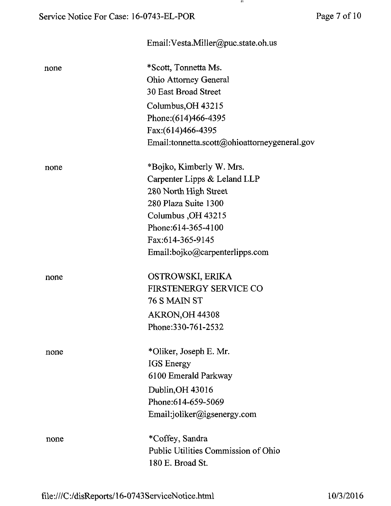## Email[:Vesta.Miller@puc.state.oh.us](mailto:Vesta.Miller@puc.state.oh.us)  none \* Scott, Tonnetta Ms. Ohio Attorney General 30 East Broad Street Columbus,OH 43215 Phone:(614)466-4395 Fax:(614)466-4395 Email:tonnetta.scott@ohioattorneygeneral.gov none \*Bojko, Kimberly W. Mrs. Carpenter Lipps & Leland LLP 280 North High Street 280 Plaza Suite 1300 Columbus,OH 43215 Phone:614-365-4100 Fax:614-365-9145 Email [:bojko@carpenterlipps.com](mailto:bojko@carpenterlipps.com) none OSTROWSKI, ERIKA FIRSTENERGY SERVICE CO 76 S MAIN ST AKRON,OH 44308 Phone:330-761-2532 none \*Oliker, Joseph E. Mr. IGS Energy 6100 Emerald Parkway Dublin,OH 43016 Phone:614-659-5069 Email:joliker@igsenergy.com none \*Coffey, Sandra Public Utilities Commission of Ohio 180 E. Broad St.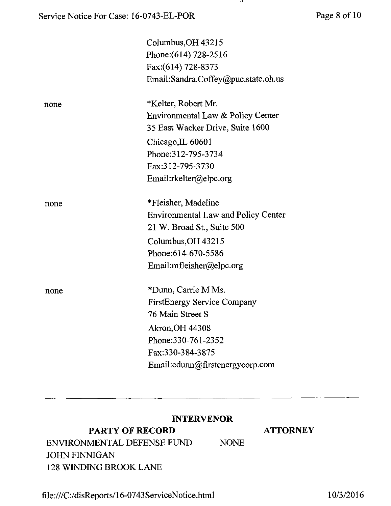|      | Columbus, OH 43215                         |
|------|--------------------------------------------|
|      | Phone: (614) 728-2516                      |
|      | Fax:(614) 728-8373                         |
|      | Email:Sandra.Coffey@puc.state.oh.us        |
| none | *Kelter, Robert Mr.                        |
|      | Environmental Law & Policy Center          |
|      | 35 East Wacker Drive, Suite 1600           |
|      | Chicago, IL 60601                          |
|      | Phone: 312-795-3734                        |
|      | Fax:312-795-3730                           |
|      | Email:rkelter@elpc.org                     |
| none | *Fleisher, Madeline                        |
|      | <b>Environmental Law and Policy Center</b> |
|      | 21 W. Broad St., Suite 500                 |
|      | Columbus, OH 43215                         |
|      | Phone: 614-670-5586                        |
|      | Email:mfleisher@elpc.org                   |
| none | *Dunn, Carrie M Ms.                        |
|      | <b>FirstEnergy Service Company</b>         |
|      | 76 Main Street S                           |
|      | <b>Akron, OH 44308</b>                     |
|      | Phone: 330-761-2352                        |
|      | Fax:330-384-3875                           |
|      | Email:cdunn@firstenergycorp.com            |
|      |                                            |

### INTERVENOR

### PARTY OF RECORD ATTORNEY

ENVIRONMENTAL DEFENSE FUND NONE JOHN FINNIGAN 128 WINDING BROOK LANE

<file:///C:/disReports/l>6-0743ServiceNotice.html 10/3/2016

-44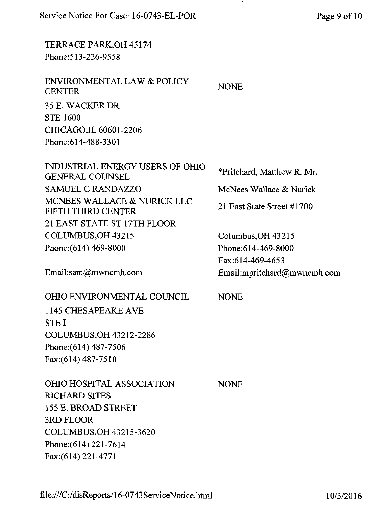Service Notice For Case: 16-0743-EL-POR Page 9 of 10

TERRACE PARK,OH 45174 Phone:513-226-9558

ENVIRONMENTAL LAW & POLICY **CENTER** 35 E. WACKER DR STE 1600 CHICAGO,IL 60601-2206 Phone:614-488-3301

INDUSTRIAL ENERGY USERS OF OHIO GENERAL COUNSEL SAMUEL C RANDAZZO MCNEES WALLACE & NURICK LLC FIFTH THIRD CENTER 21 EAST STATE ST 17TH FLOOR COLUMBUS,OH 43215 Phone:(614) 469-8000 Columbus,OH 43215 Phone;614-469-8000

Email: sam@mwncmh. com

OHIO ENVIRONMENTAL COUNCIL

1145 CHESAPEAKE AVE STE I COLUMBUS,OH 43212-2286 Phone: (614) 487-7506 Fax:(614)487-7510

OHIO HOSPITAL ASSOCIATION RICHARD SITES 155 E. BROAD STREET 3RD FLOOR COLUMBUS,OH 43215-3620 Phone: (614) 221-7614 Fax:(614)221-4771

\*Pritchard, Matthew R. Mr. McNees Wallace & Nurick 21 East State Street #1700

Fax:614-469-4653 Email:mpritchard@m [wncmh.com](http://wncmh.com)

NONE

NONE

NONE

<file:///C:/disReports/16-0743ServiceNotice.html>10/3/2016